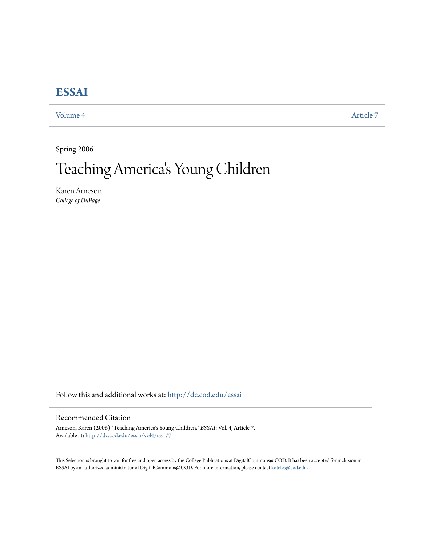## **[ESSAI](http://dc.cod.edu/essai?utm_source=dc.cod.edu%2Fessai%2Fvol4%2Fiss1%2F7&utm_medium=PDF&utm_campaign=PDFCoverPages)**

[Volume 4](http://dc.cod.edu/essai/vol4?utm_source=dc.cod.edu%2Fessai%2Fvol4%2Fiss1%2F7&utm_medium=PDF&utm_campaign=PDFCoverPages) [Article 7](http://dc.cod.edu/essai/vol4/iss1/7?utm_source=dc.cod.edu%2Fessai%2Fvol4%2Fiss1%2F7&utm_medium=PDF&utm_campaign=PDFCoverPages)

Spring 2006

## Teaching America 's Young Children

Karen Arneson *College of DuPage*

Follow this and additional works at: [http://dc.cod.edu/essai](http://dc.cod.edu/essai?utm_source=dc.cod.edu%2Fessai%2Fvol4%2Fiss1%2F7&utm_medium=PDF&utm_campaign=PDFCoverPages)

## Recommended Citation

Arneson, Karen (2006) "Teaching America's Young Children," *ESSAI*: Vol. 4, Article 7. Available at: [http://dc.cod.edu/essai/vol4/iss1/7](http://dc.cod.edu/essai/vol4/iss1/7?utm_source=dc.cod.edu%2Fessai%2Fvol4%2Fiss1%2F7&utm_medium=PDF&utm_campaign=PDFCoverPages)

This Selection is brought to you for free and open access by the College Publications at DigitalCommons@COD. It has been accepted for inclusion in ESSAI by an authorized administrator of DigitalCommons@COD. For more information, please contact [koteles@cod.edu](mailto:koteles@cod.edu).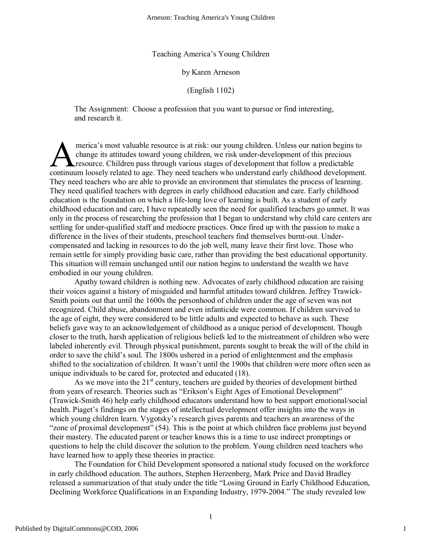Teaching America's Young Children

by Karen Arneson

(English 1102)

The Assignment: Choose a profession that you want to pursue or find interesting, and research it.

merica's most valuable resource is at risk: our young children. Unless our nation begins to change its attitudes toward young children, we risk under-development of this precious **L** resource. Children pass through various stages of development that follow a predictable merica's most valuable resource is at risk: our young children. Unless our nation begins to change its attitudes toward young children, we risk under-development of this precious resource. Children pass through various sta They need teachers who are able to provide an environment that stimulates the process of learning. They need qualified teachers with degrees in early childhood education and care. Early childhood education is the foundation on which a life-long love of learning is built. As a student of early childhood education and care, I have repeatedly seen the need for qualified teachers go unmet. It was only in the process of researching the profession that I began to understand why child care centers are settling for under-qualified staff and mediocre practices. Once fired up with the passion to make a difference in the lives of their students, preschool teachers find themselves burnt-out. Undercompensated and lacking in resources to do the job well, many leave their first love. Those who remain settle for simply providing basic care, rather than providing the best educational opportunity. This situation will remain unchanged until our nation begins to understand the wealth we have embodied in our young children.

Apathy toward children is nothing new. Advocates of early childhood education are raising their voices against a history of misguided and harmful attitudes toward children. Jeffrey Trawick-Smith points out that until the 1600s the personhood of children under the age of seven was not recognized. Child abuse, abandonment and even infanticide were common. If children survived to the age of eight, they were considered to be little adults and expected to behave as such. These beliefs gave way to an acknowledgement of childhood as a unique period of development. Though closer to the truth, harsh application of religious beliefs led to the mistreatment of children who were labeled inherently evil. Through physical punishment, parents sought to break the will of the child in order to save the child's soul. The 1800s ushered in a period of enlightenment and the emphasis shifted to the socialization of children. It wasn't until the 1900s that children were more often seen as unique individuals to be cared for, protected and educated (18).

As we move into the 21<sup>st</sup> century, teachers are guided by theories of development birthed from years of research. Theories such as "Erikson's Eight Ages of Emotional Development" (Trawick-Smith 46) help early childhood educators understand how to best support emotional/social health. Piaget's findings on the stages of intellectual development offer insights into the ways in which young children learn. Vygotsky's research gives parents and teachers an awareness of the "zone of proximal development" (54). This is the point at which children face problems just beyond their mastery. The educated parent or teacher knows this is a time to use indirect promptings or questions to help the child discover the solution to the problem. Young children need teachers who have learned how to apply these theories in practice.

The Foundation for Child Development sponsored a national study focused on the workforce in early childhood education. The authors, Stephen Herzenberg, Mark Price and David Bradley released a summarization of that study under the title "Losing Ground in Early Childhood Education, Declining Workforce Qualifications in an Expanding Industry, 1979-2004." The study revealed low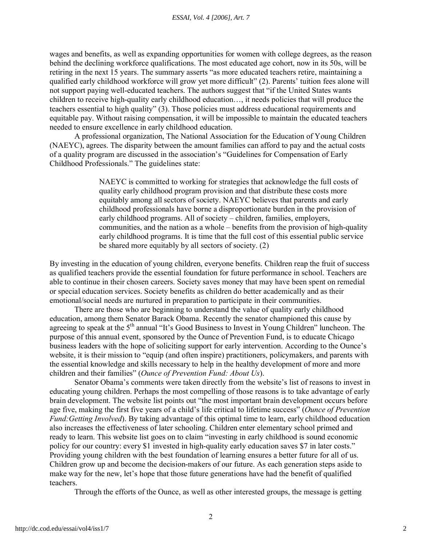wages and benefits, as well as expanding opportunities for women with college degrees, as the reason behind the declining workforce qualifications. The most educated age cohort, now in its 50s, will be retiring in the next 15 years. The summary asserts "as more educated teachers retire, maintaining a qualified early childhood workforce will grow yet more difficult" (2). Parents' tuition fees alone will not support paying well-educated teachers. The authors suggest that "if the United States wants children to receive high-quality early childhood education…, it needs policies that will produce the teachers essential to high quality" (3). Those policies must address educational requirements and equitable pay. Without raising compensation, it will be impossible to maintain the educated teachers needed to ensure excellence in early childhood education.

A professional organization, The National Association for the Education of Young Children (NAEYC), agrees. The disparity between the amount families can afford to pay and the actual costs of a quality program are discussed in the association's "Guidelines for Compensation of Early Childhood Professionals." The guidelines state:

> NAEYC is committed to working for strategies that acknowledge the full costs of quality early childhood program provision and that distribute these costs more equitably among all sectors of society. NAEYC believes that parents and early childhood professionals have borne a disproportionate burden in the provision of early childhood programs. All of society – children, families, employers, communities, and the nation as a whole – benefits from the provision of high-quality early childhood programs. It is time that the full cost of this essential public service be shared more equitably by all sectors of society. (2)

By investing in the education of young children, everyone benefits. Children reap the fruit of success as qualified teachers provide the essential foundation for future performance in school. Teachers are able to continue in their chosen careers. Society saves money that may have been spent on remedial or special education services. Society benefits as children do better academically and as their emotional/social needs are nurtured in preparation to participate in their communities.

There are those who are beginning to understand the value of quality early childhood education, among them Senator Barack Obama. Recently the senator championed this cause by agreeing to speak at the 5<sup>th</sup> annual "It's Good Business to Invest in Young Children" luncheon. The purpose of this annual event, sponsored by the Ounce of Prevention Fund, is to educate Chicago business leaders with the hope of soliciting support for early intervention. According to the Ounce's website, it is their mission to "equip (and often inspire) practitioners, policymakers, and parents with the essential knowledge and skills necessary to help in the healthy development of more and more children and their families" (*Ounce of Prevention Fund: About Us*).

Senator Obama's comments were taken directly from the website's list of reasons to invest in educating young children. Perhaps the most compelling of those reasons is to take advantage of early brain development. The website list points out "the most important brain development occurs before age five, making the first five years of a child's life critical to lifetime success" (*Ounce of Prevention Fund:Getting Involved*). By taking advantage of this optimal time to learn, early childhood education also increases the effectiveness of later schooling. Children enter elementary school primed and ready to learn. This website list goes on to claim "investing in early childhood is sound economic policy for our country: every \$1 invested in high-quality early education saves \$7 in later costs." Providing young children with the best foundation of learning ensures a better future for all of us. Children grow up and become the decision-makers of our future. As each generation steps aside to make way for the new, let's hope that those future generations have had the benefit of qualified teachers.

Through the efforts of the Ounce, as well as other interested groups, the message is getting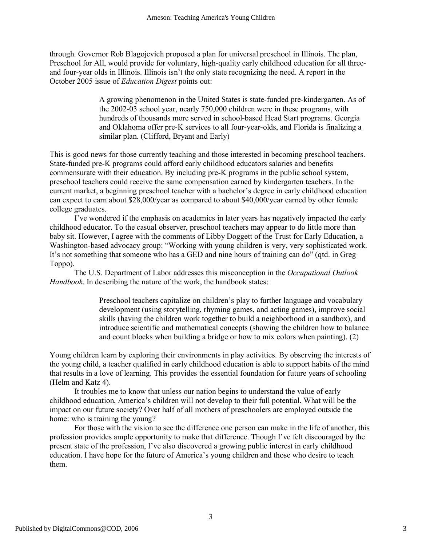through. Governor Rob Blagojevich proposed a plan for universal preschool in Illinois. The plan, Preschool for All, would provide for voluntary, high-quality early childhood education for all threeand four-year olds in Illinois. Illinois isn't the only state recognizing the need. A report in the October 2005 issue of *Education Digest* points out:

> A growing phenomenon in the United States is state-funded pre-kindergarten. As of the 2002-03 school year, nearly 750,000 children were in these programs, with hundreds of thousands more served in school-based Head Start programs. Georgia and Oklahoma offer pre-K services to all four-year-olds, and Florida is finalizing a similar plan. (Clifford, Bryant and Early)

This is good news for those currently teaching and those interested in becoming preschool teachers. State-funded pre-K programs could afford early childhood educators salaries and benefits commensurate with their education. By including pre-K programs in the public school system, preschool teachers could receive the same compensation earned by kindergarten teachers. In the current market, a beginning preschool teacher with a bachelor's degree in early childhood education can expect to earn about \$28,000/year as compared to about \$40,000/year earned by other female college graduates.

I've wondered if the emphasis on academics in later years has negatively impacted the early childhood educator. To the casual observer, preschool teachers may appear to do little more than baby sit. However, I agree with the comments of Libby Doggett of the Trust for Early Education, a Washington-based advocacy group: "Working with young children is very, very sophisticated work. It's not something that someone who has a GED and nine hours of training can do" (qtd. in Greg Toppo).

The U.S. Department of Labor addresses this misconception in the *Occupational Outlook Handbook*. In describing the nature of the work, the handbook states:

> Preschool teachers capitalize on children's play to further language and vocabulary development (using storytelling, rhyming games, and acting games), improve social skills (having the children work together to build a neighborhood in a sandbox), and introduce scientific and mathematical concepts (showing the children how to balance and count blocks when building a bridge or how to mix colors when painting). (2)

Young children learn by exploring their environments in play activities. By observing the interests of the young child, a teacher qualified in early childhood education is able to support habits of the mind that results in a love of learning. This provides the essential foundation for future years of schooling (Helm and Katz 4).

It troubles me to know that unless our nation begins to understand the value of early childhood education, America's children will not develop to their full potential. What will be the impact on our future society? Over half of all mothers of preschoolers are employed outside the home: who is training the young?

For those with the vision to see the difference one person can make in the life of another, this profession provides ample opportunity to make that difference. Though I've felt discouraged by the present state of the profession, I've also discovered a growing public interest in early childhood education. I have hope for the future of America's young children and those who desire to teach them.